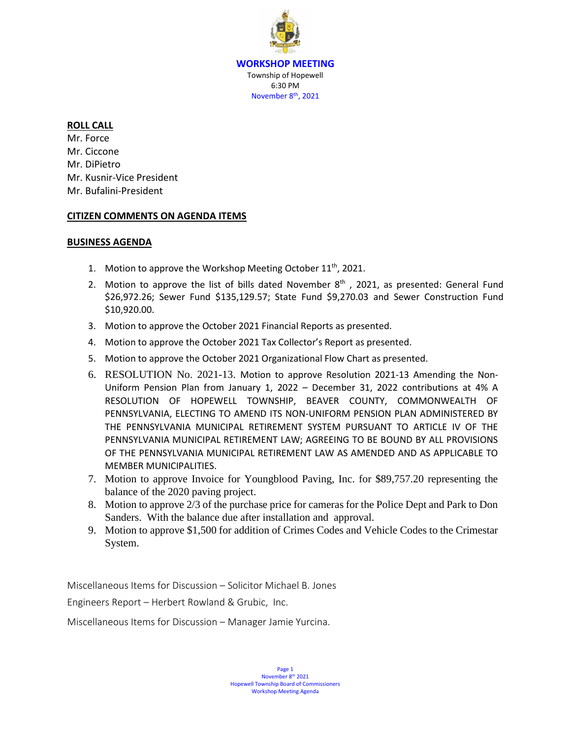**WORKSHOP MEETING** Township of Hopewell 6:30 PM November 8<sup>th</sup>, 2021

### **ROLL CALL**

Mr. Force Mr. Ciccone Mr. DiPietro Mr. Kusnir-Vice President Mr. Bufalini-President

### **CITIZEN COMMENTS ON AGENDA ITEMS**

### **BUSINESS AGENDA**

- 1. Motion to approve the Workshop Meeting October  $11<sup>th</sup>$ , 2021.
- 2. Motion to approve the list of bills dated November  $8<sup>th</sup>$ , 2021, as presented: General Fund \$26,972.26; Sewer Fund \$135,129.57; State Fund \$9,270.03 and Sewer Construction Fund \$10,920.00.
- 3. Motion to approve the October 2021 Financial Reports as presented.
- 4. Motion to approve the October 2021 Tax Collector's Report as presented.
- 5. Motion to approve the October 2021 Organizational Flow Chart as presented.
- 6. RESOLUTION No. 2021-13. Motion to approve Resolution 2021-13 Amending the Non-Uniform Pension Plan from January 1, 2022 – December 31, 2022 contributions at 4% A RESOLUTION OF HOPEWELL TOWNSHIP, BEAVER COUNTY, COMMONWEALTH OF PENNSYLVANIA, ELECTING TO AMEND ITS NON-UNIFORM PENSION PLAN ADMINISTERED BY THE PENNSYLVANIA MUNICIPAL RETIREMENT SYSTEM PURSUANT TO ARTICLE IV OF THE PENNSYLVANIA MUNICIPAL RETIREMENT LAW; AGREEING TO BE BOUND BY ALL PROVISIONS OF THE PENNSYLVANIA MUNICIPAL RETIREMENT LAW AS AMENDED AND AS APPLICABLE TO MEMBER MUNICIPALITIES.
- 7. Motion to approve Invoice for Youngblood Paving, Inc. for \$89,757.20 representing the balance of the 2020 paving project.
- 8. Motion to approve 2/3 of the purchase price for cameras for the Police Dept and Park to Don Sanders. With the balance due after installation and approval.
- 9. Motion to approve \$1,500 for addition of Crimes Codes and Vehicle Codes to the Crimestar System.

Miscellaneous Items for Discussion – Solicitor Michael B. Jones

Engineers Report – Herbert Rowland & Grubic, Inc.

Miscellaneous Items for Discussion – Manager Jamie Yurcina.

Page 1 November 8<sup>th</sup> 2021 Hopewell Township Board of Commissioners Workshop Meeting Agenda